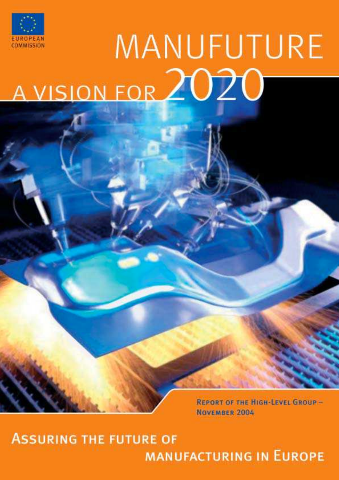

# MANUFUTURE A VISION FOR 2020

**REPORT OF THE HIGH-LEVEL GROUP-**NOVEMBER 2004

**ASSURING THE FUTURE OF MANUFACTURING IN EUROPE**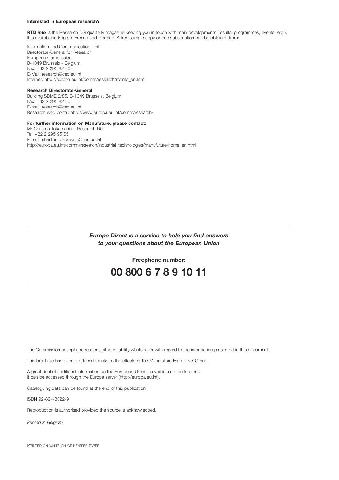#### **Interested in European research?**

**RTD** *info* is the Research DG quarterly magazine keeping you in touch with main developments (results, programmes, events, etc.). It is available in English, French and German. A free sample copy or free subscription can be obtained from:

Information and Communication Unit Directorate-General for Research European Commission B-1049 Brussels - Belgium Fax: +32 2 295 82 20 E-Mail: research@cec.eu.int Internet: http://europa.eu.int/comm/research/rtdinfo\_en.html

#### **Research Directorate-General**

Building SDME 2/85, B-1049 Brussels, Belgium Fax: +32 2 295 82 20 E-mail: research@cec.eu.int Research web portal: http://www.europa.eu.int/comm/research/

#### **For further information on Manufuture, please contact:**

Mr Christos Tokamanis – Research DG Tel: +32 2 295 95 65 E-mail: christos.tokamanis@cec.eu.int http://europa.eu.int/comm/research/industrial\_technologies/manufuture/home\_en.html

> *Europe Direct is a service to help you find answers to your questions about the European Union*

> > **Freephone number:**

# **00 800 6 7 8 9 10 11**

The Commission accepts no responsibility or liability whatsoever with regard to the information presented in this document.

This brochure has been produced thanks to the effects of the Manufuture High Level Group.

A great deal of additional information on the European Union is available on the Internet. It can be accessed through the Europa server (http://europa.eu.int).

Cataloguing data can be found at the end of this publication.

ISBN 92-894-8322-9

Reproduction is authorised provided the source is acknowledged.

*Printed in Belgium*

PRINTED ON WHITE CHLORINE-FREE PAPER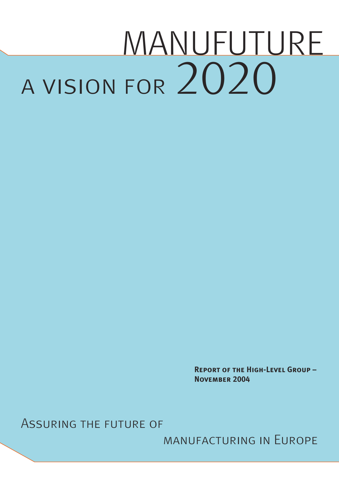# a vision for 2020 MANUFUTURE

**Report of the High-Level Group – November 2004**

Assuring the future of

manufacturing in Europe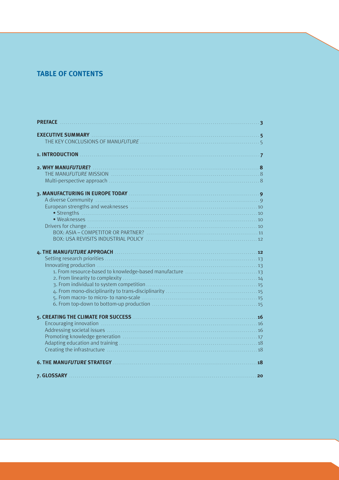## **TABLE OF CONTENTS**

| PREFACE                                                                                                                                                                                                                        |
|--------------------------------------------------------------------------------------------------------------------------------------------------------------------------------------------------------------------------------|
| EXECUTIVE SUMMARY William Communication of the Summary State of the Summary State of the Summary State of the Summary State of the Summary State of the Summary State of the Summary State of the Summary State of the Summary |
|                                                                                                                                                                                                                                |
|                                                                                                                                                                                                                                |
|                                                                                                                                                                                                                                |
|                                                                                                                                                                                                                                |
|                                                                                                                                                                                                                                |
|                                                                                                                                                                                                                                |
|                                                                                                                                                                                                                                |
|                                                                                                                                                                                                                                |
|                                                                                                                                                                                                                                |
|                                                                                                                                                                                                                                |
|                                                                                                                                                                                                                                |
|                                                                                                                                                                                                                                |
|                                                                                                                                                                                                                                |
|                                                                                                                                                                                                                                |
| 4. THE MANUFUTURE APPROACH MARKED AND THE MANUSCRIPT OF THE MANUFUTURE APPROACH                                                                                                                                                |
|                                                                                                                                                                                                                                |
|                                                                                                                                                                                                                                |
|                                                                                                                                                                                                                                |
|                                                                                                                                                                                                                                |
|                                                                                                                                                                                                                                |
|                                                                                                                                                                                                                                |
|                                                                                                                                                                                                                                |
|                                                                                                                                                                                                                                |
| 5. CREATING THE CLIMATE FOR SUCCESS <b>Manual CLIPS</b> 2014 16                                                                                                                                                                |
|                                                                                                                                                                                                                                |
| Addressing societal issues with the continuum control of the control of the control of the control of the control of the control of the control of the control of the control of the control of the control of the control of  |
|                                                                                                                                                                                                                                |
|                                                                                                                                                                                                                                |
|                                                                                                                                                                                                                                |
| 6. THE MANUFUTURE STRATEGY MARKEY AND THE RESIDENCE OF A 18                                                                                                                                                                    |
| <b>CONTRACTOR</b>                                                                                                                                                                                                              |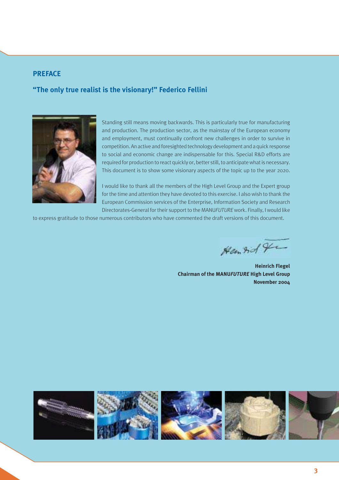## **PREFACE**

## **"The only true realist is the visionary!" Federico Fellini**



Standing still means moving backwards. This is particularly true for manufacturing and production. The production sector, as the mainstay of the European economy and employment, must continually confront new challenges in order to survive in competition. An active and foresighted technology development and a quick response to social and economic change are indispensable for this. Special R&D efforts are required for production to react quickly or, better still, to anticipate what is necessary. This document is to show some visionary aspects of the topic up to the year 2020.

I would like to thank all the members of the High Level Group and the Expert group for the time and attention they have devoted to this exercise. I also wish to thank the European Commission services of the Enterprise, Information Society and Research Directorates-General for their support to the MANU*FUTURE*work. Finally, I would like

to express gratitude to those numerous contributors who have commented the draft versions of this document.

Henrid te

**Heinrich Flegel Chairman of the MANU***FUTURE* **High Level Group November 2004**

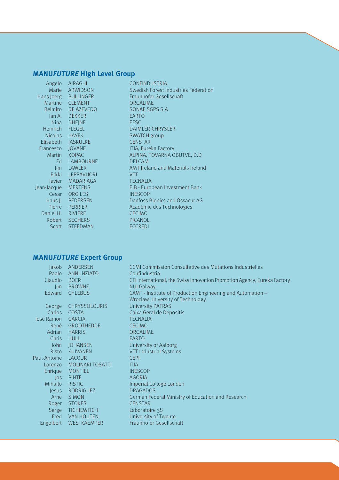## **MANU***FUTURE* **High Level Group**

| Angelo            | <b>AIRAGHI</b>       | CONFIND          |
|-------------------|----------------------|------------------|
| Marie             | <b>ARWIDSON</b>      | Swedish          |
|                   | Hans Joerg BULLINGER | Fraunhof         |
|                   | Martine CLEMENT      | ORGALIN          |
|                   | Belmiro DE AZEVEDO   | <b>SONAE S</b>   |
| Jan A.            | <b>DEKKER</b>        | <b>EARTO</b>     |
| <b>Nina</b>       | <b>DHEJNE</b>        | <b>EESC</b>      |
| Heinrich FLEGEL   |                      | <b>DAIMLER</b>   |
|                   | Nicolas HAYEK        | <b>SWATCH</b>    |
|                   | Elisabeth JASKULKE   | <b>CENSTAR</b>   |
| Francesco         | <b>JOVANE</b>        | ITIA, Eure       |
| Martin            | <b>KOPAC</b>         | ALPINA,          |
| Ed -              | LAMBOURNE            | <b>DELCAM</b>    |
| lim               | <b>LAWLER</b>        | <b>AMT</b> Irela |
|                   | Erkki LEPPAVUORI     | VTT              |
|                   | Javier MADARIAGA     | <b>TECNALIA</b>  |
| Jean-Jacque       | <b>MERTENS</b>       | EIB - Euro       |
| Cesar             | <b>ORGILES</b>       | <b>INESCOP</b>   |
|                   | Hans J. PEDERSEN     | Danfoss          |
|                   | Pierre PERRIER       | Académi          |
| Daniel H. RIVIERE |                      | <b>CECIMO</b>    |
|                   | Robert SEGHERS       | <b>PICANOL</b>   |
| <b>Scott</b>      | <b>STEEDMAN</b>      | <b>ECCREDI</b>   |

**CONFINDUSTRIA** Swedish Forest Industries Federation Fraunhofer Gesellschaft ORGALIME SONAE SGPS S.A EARTO EESC DAIMLER-CHRYSLER SWATCH group **CENSTAR** ITIA, Eureka Factory ALPINA, TOVARNA OBUTVE, D.D. DELCAM AMT Ireland and Materials Ireland **TECNALIA** EIB - European Investment Bank **INESCOP** Danfoss Bionics and Ossacur AG Académie des Technologies CECIMO PICANOL

## **MANU***FUTURE* **Expert Group**

| Jakob        | ANDERSEN                | <b>CCMI Commission Consultative des Mutations Industrielles</b>          |
|--------------|-------------------------|--------------------------------------------------------------------------|
| Paolo        | ANNUNZIATO              | Confindustria                                                            |
| Claudio      | <b>BOER</b>             | CTI International, the Swiss Innovation Promotion Agency, Eureka Factory |
| $\lim$       | <b>BROWNE</b>           | <b>NUI Galway</b>                                                        |
| Edward       | <b>CHLEBUS</b>          | CAMT - Institute of Production Engineering and Automation –              |
|              |                         | Wroclaw University of Technology                                         |
| George       | <b>CHRYSSOLOURIS</b>    | <b>University PATRAS</b>                                                 |
| Carlos       | <b>COSTA</b>            | Caixa Geral de Depositis                                                 |
| José Ramon   | <b>GARCIA</b>           | <b>TECNALIA</b>                                                          |
| René         | <b>GROOTHEDDE</b>       | <b>CECIMO</b>                                                            |
| Adrian       | <b>HARRIS</b>           | ORGALIME                                                                 |
| Chris        | <b>HULL</b>             | <b>EARTO</b>                                                             |
| John         | <b>JOHANSEN</b>         | University of Aalborg                                                    |
| Risto        | <b>KUIVANEN</b>         | <b>VTT Industrial Systems</b>                                            |
| Paul-Antoine | LACOUR                  | <b>CEPI</b>                                                              |
| Lorenzo      | <b>MOLINARI TOSATTI</b> | <b>ITIA</b>                                                              |
| Enrique      | <b>MONTIEL</b>          | <b>INESCOP</b>                                                           |
| Jos          | <b>PINTE</b>            | <b>AGORIA</b>                                                            |
| Mihailo      | <b>RISTIC</b>           | Imperial College London                                                  |
| lesus        | <b>RODRIGUEZ</b>        | <b>DRAGADOS</b>                                                          |
| Arne         | <b>SIMON</b>            | German Federal Ministry of Education and Research                        |
| Roger        | <b>STOKES</b>           | <b>CENSTAR</b>                                                           |
| Serge        | <b>TICHIEWITCH</b>      | Laboratoire 3S                                                           |
| Fred         | <b>VAN HOUTEN</b>       | University of Twente                                                     |
| Engelbert    | WESTKAEMPER             | Fraunhofer Gesellschaft                                                  |
|              |                         |                                                                          |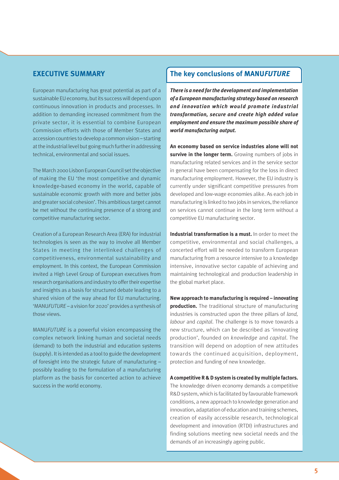## **EXECUTIVE SUMMARY**

European manufacturing has great potential as part of a sustainable EU economy, but its success will depend upon continuous innovation in products and processes. In addition to demanding increased commitment from the private sector, it is essential to combine European Commission efforts with those of Member States and accession countries to develop a common vision – starting at the industrial level but going much further in addressing technical, environmental and social issues.

The March 2000 Lisbon European Council set the objective of making the EU 'the most competitive and dynamic knowledge-based economy in the world, capable of sustainable economic growth with more and better jobs and greater social cohesion'. This ambitious target cannot be met without the continuing presence of a strong and competitive manufacturing sector.

Creation of a European Research Area (ERA) for industrial technologies is seen as the way to involve all Member States in meeting the interlinked challenges of competitiveness, environmental sustainability and employment. In this context, the European Commission invited a High Level Group of European executives from research organisations and industry to offer their expertise and insights as a basis for structured debate leading to a shared vision of the way ahead for EU manufacturing. 'MANU*FUTURE* – a vision for 2020' provides a synthesis of those views.

MANU*FUTURE* is a powerful vision encompassing the complex network linking human and societal needs (demand) to both the industrial and education systems (supply). It is intended as a tool to guide the development of foresight into the strategic future of manufacturing – possibly leading to the formulation of a manufacturing platform as the basis for concerted action to achieve success in the world economy.

## **The key conclusions of MANU***FUTURE*

*There is a need for the development and implementation of a European manufacturing strategy based on research and innovation which would promote industrial transformation, secure and create high added value employment and ensure the maximum possible share of world manufacturing output.* 

**An economy based on service industries alone will not survive in the longer term.** Growing numbers of jobs in manufacturing related services and in the service sector in general have been compensating for the loss in direct manufacturing employment. However, the EU industry is currently under significant competitive pressures from developed and low-wage economies alike. As each job in manufacturing is linked to two jobs in services, the reliance on services cannot continue in the long term without a competitive EU manufacturing sector.

**Industrial transformation is a must.** In order to meet the competitive, environmental and social challenges, a concerted effort will be needed to transform European manufacturing from a resource intensive to a knowledge intensive, innovative sector capable of achieving and maintaining technological and production leadership in the global market place.

**New approach to manufacturing is required – innovating production.** The traditional structure of manufacturing industries is constructed upon the three pillars of *land, labour* and *capital*. The challenge is to move towards a new structure, which can be described as 'innovating production', founded on *knowledge* and *capital*. The transition will depend on adoption of new attitudes towards the continued acquisition, deployment, protection and funding of new knowledge.

## **A competitive R & D system is created by multiple factors.**

The knowledge driven economy demands a competitive R&D system, which is facilitated by favourable framework conditions, a new approach to knowledge generation and innovation, adaptation of education and training schemes, creation of easily accessible research, technological development and innovation (RTDI) infrastructures and finding solutions meeting new societal needs and the demands of an increasingly ageing public.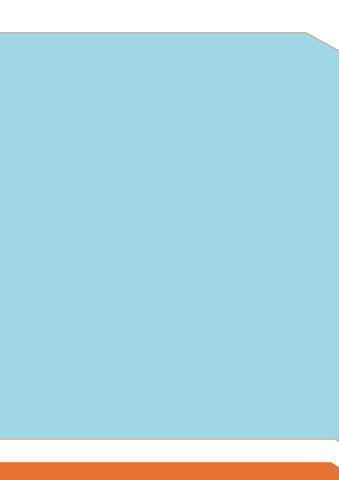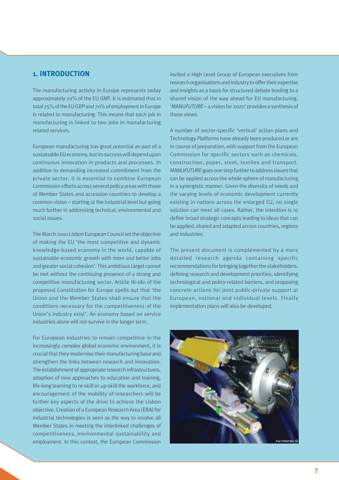## **1. INTRODUCTION**

The manufacturing activity in Europe represents today approximately 22% of the EU GNP. It is estimated that in total 75% of the EU GDP and 70% of employment in Europe is related to manufacturing. This means that each job in manufacturing is linked to two jobs in manufacturing related services.

European manufacturing has great potential as part of a sustainable EU economy, but its success will depend upon continuous innovation in products and processes. In addition to demanding increased commitment from the private sector, it is essential to combine European Commission efforts across several policy areas with those of Member States and accession countries to develop a common vision – starting at the industrial level but going much further in addressing technical, environmental and social issues.

The March 2000 Lisbon European Council set the objective of making the EU 'the most competitive and dynamic knowledge-based economy in the world, capable of sustainable economic growth with more and better jobs and greater social cohesion'. This ambitious target cannot be met without the continuing presence of a strong and competitive manufacturing sector. Article III-180 of the proposed Constitution for Europe spells out that 'the Union and the Member States shall ensure that the conditions necessary for the competitiveness of the Union's industry exist'. An economy based on service industries alone will not survive in the longer term.

For European industries to remain competitive in the increasingly complex global economic environment, it is crucial that they modernise their manufacturing base and strengthen the links between research and innovation. The establishment of appropriate research infrastructures, adoption of new approaches to education and training, life-long learning to re-skill or up-skill the workforce, and encouragement of the mobility of researchers will be further key aspects of the drive to achieve the Lisbon objective. Creation of a European Research Area (ERA) for industrial technologies is seen as the way to involve all Member States in meeting the interlinked challenges of competitiveness, environmental sustainability and employment. In this context, the European Commission

invited a High Level Group of European executives from research organisations and industry to offer their expertise and insights as a basis for structured debate leading to a shared vision of the way ahead for EU manufacturing. 'MANU*FUTURE* – a vision for 2020' provides a synthesis of those views.

A number of sector-specific 'vertical' action plans and Technology Platforms have already been produced or are in course of preparation, with support from the European Commission for specific sectors such as chemicals, construction, paper, steel, textiles and transport. MANU*FUTURE* goes one step further to address issues that can be applied across the whole sphere of manufacturing in a synergistic manner. Given the diversity of needs and the varying levels of economic development currently existing in nations across the enlarged EU, no single solution can meet all cases. Rather, the intention is to define broad strategic concepts leading to ideas that can be applied, shared and adapted across countries, regions and industries.

The present document is complemented by a more detailed research agenda containing specific recommendations for bringing together the stakeholders, defining research and development priorities, identifying technological and policy-related barriers, and proposing concrete actions for joint public-private support at European, national and individual levels. Finally implementation plans will also be developed.

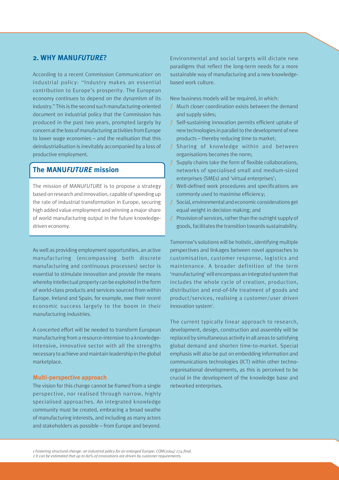## **2. WHY MANU***FUTURE***?**

According to a recent Commission Communication<sup>1</sup> on industrial policy: "Industry makes an essential contribution to Europe's prosperity. The European economy continues to depend on the dynamism of its industry." This is the second such manufacturing-oriented document on industrial policy that the Commission has produced in the past two years, prompted largely by concern at the loss of manufacturing activities from Europe to lower wage economies – and the realisation that this deindustrialisation is inevitably accompanied by a loss of productive employment.

## **The MANU***FUTURE* **mission**

The mission of MANU*FUTURE* is to propose a strategy based on research and innovation, capable of speeding up the rate of industrial transformation in Europe, securing high added value employment and winning a major share of world manufacturing output in the future knowledgedriven economy.

As well as providing employment opportunities, an active manufacturing (encompassing both discrete manufacturing and continuous processes) sector is essential to stimulate innovation and provide the means whereby intellectual property can be exploited in the form of world-class products and services sourced from within Europe. Ireland and Spain, for example, owe their recent economic success largely to the boom in their manufacturing industries.

A concerted effort will be needed to transform European manufacturing from a resource-intensive to a knowledgeintensive, innovative sector with all the strengths necessary to achieve and maintain leadership in the global marketplace.

#### **Multi-perspective approach**

The vision for this change cannot be framed from a single perspective, nor realised through narrow, highly specialised approaches. An integrated knowledge community must be created, embracing a broad swathe of manufacturing interests, and including as many actors and stakeholders as possible – from Europe and beyond.

Environmental and social targets will dictate new paradigms that reflect the long-term needs for a more sustainable way of manufacturing and a new knowledgebased work culture.

New business models will be required, in which:

- / Much closer coordination exists between the demand and supply sides;
- / Self-sustaining innovation permits efficient uptake of new technologies in parallel to the development of new products – thereby reducing time to market;
- Sharing of knowledge within and between organisations becomes the norm;
- / Supply chains take the form of flexible collaborations, networks of specialised small and medium-sized enterprises (SMEs) and 'virtual enterprises';
- / Well-defined work procedures and specifications are commonly used to maximise efficiency;
- / Social, environmental and economic considerations get equal weight in decision making; and
- / Provision of services, rather than the outright supply of goods, facilitates the transition towards sustainability.

Tomorrow's solutions will be holistic, identifying multiple perspectives and linkages between novel approaches to customisation, customer response, logistics and maintenance. A broader definition of the term 'manufacturing' will encompass an integrated system that includes the whole cycle of creation, production, distribution and end-of-life treatment of goods and product/services, realising a customer/user driven innovation system<sup>2</sup>.

The current typically linear approach to research, development, design, construction and assembly will be replaced by simultaneous activity in all areas to satisfying global demand and shorten time-to-market. Special emphasis will also be put on embedding information and communications technologies (ICT) within other technoorganisational developments, as this is perceived to be crucial in the development of the knowledge base and networked enterprises.

*<sup>1</sup> Fostering structural change: an industrial policy for an enlarged Europe; COM(2004) 274 final.*

*<sup>2</sup> It can be estimated that up to 80% of innovations are driven by customer requirements.*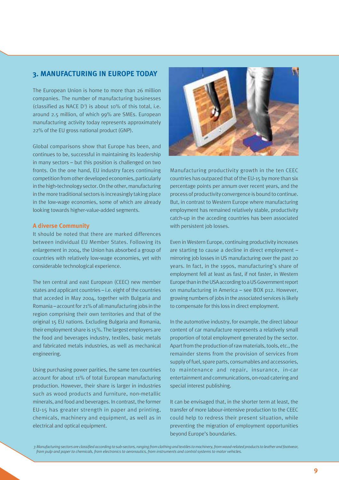## **3. MANUFACTURING IN EUROPE TODAY**

The European Union is home to more than 26 million companies. The number of manufacturing businesses (classified as NACE  $D^3$ ) is about 10% of this total, i.e. around 2.5 million, of which 99% are SMEs. European manufacturing activity today represents approximately 22% of the EU gross national product (GNP).

Global comparisons show that Europe has been, and continues to be, successful in maintaining its leadership in many sectors – but this position is challenged on two fronts. On the one hand, EU industry faces continuing competition from other developed economies, particularly in the high-technology sector. On the other, manufacturing in the more traditional sectors is increasingly taking place in the low-wage economies, some of which are already looking towards higher-value-added segments.

#### **A diverse Community**

It should be noted that there are marked differences between individual EU Member States. Following its enlargement in 2004, the Union has absorbed a group of countries with relatively low-wage economies, yet with considerable technological experience.

The ten central and east European (CEEC) new member states and applicant countries – i.e. eight of the countries that acceded in May 2004, together with Bulgaria and Romania – account for 21% of all manufacturing jobs in the region comprising their own territories and that of the original 15 EU nations. Excluding Bulgaria and Romania, their employment share is 15%. The largest employers are the food and beverages industry, textiles, basic metals and fabricated metals industries, as well as mechanical engineering.

Using purchasing power parities, the same ten countries account for about 11% of total European manufacturing production. However, their share is larger in industries such as wood products and furniture, non-metallic minerals, and food and beverages. In contrast, the former EU-15 has greater strength in paper and printing, chemicals, machinery and equipment, as well as in electrical and optical equipment.



Manufacturing productivity growth in the ten CEEC countries has outpaced that of the EU-15 by more than six percentage points per annum over recent years, and the process of productivity convergence is bound to continue. But, in contrast to Western Europe where manufacturing employment has remained relatively stable, productivity catch-up in the acceding countries has been associated with persistent job losses.

Even in Western Europe, continuing productivity increases are starting to cause a decline in direct employment – mirroring job losses in US manufacturing over the past 20 years. In fact, in the 1990s, manufacturing's share of employment fell at least as fast, if not faster, in Western Europe than in the USA according to a US Government report on manufacturing in America – see BOX p12. However, growing numbers of jobs in the associated services is likely to compensate for this loss in direct employment.

In the automotive industry, for example, the direct labour content of car manufacture represents a relatively small proportion of total employment generated by the sector. Apart from the production of raw materials, tools, etc., the remainder stems from the provision of services from supply of fuel, spare parts, consumables and accessories, to maintenance and repair, insurance, in-car entertainment and communications, on-road catering and special interest publishing.

It can be envisaged that, in the shorter term at least, the transfer of more labour-intensive production to the CEEC could help to redress their present situation, while preventing the migration of employment opportunities beyond Europe's boundaries.

*3 Manufacturing sectors are classified according to sub-sectors, ranging from clothing and textiles to machinery, from wood-related products to leather and footwear, from pulp and paper to chemicals, from electronics to aeronautics, from instruments and control systems to motor vehicles.*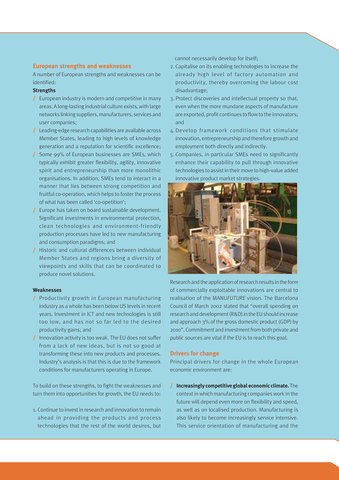#### **European strengths and weaknesses**

A number of European strengths and weaknesses can be identified:

## **Strengths**

- / European industry is modern and competitive in many areas. A long-lasting industrial culture exists, with large networks linking suppliers, manufacturers, services and user companies;
- / Leading-edge research capabilities are available across Member States, leading to high levels of knowledge generation and a reputation for scientific excellence;
- / Some 99% of European businesses are SMEs, which typically exhibit greater flexibility, agility, innovative spirit and entrepreneurship than more monolithic organisations. In addition, SMEs tend to interact in a manner that lies between strong competition and fruitful co-operation, which helps to foster the process of what has been called 'co-opetition';
- / Europe has taken on board sustainable development. Significant investments in environmental protection, clean technologies and environment-friendly production processes have led to new manufacturing and consumption paradigms; and
- / Historic and cultural differences between individual Member States and regions bring a diversity of viewpoints and skills that can be coordinated to produce novel solutions.

#### **Weaknesses**

- / Productivity growth in European manufacturing industry as a whole has been below US levels in recent years. Investment in ICT and new technologies is still too low, and has not so far led to the desired productivity gains; and
- / Innovation activity is too weak. The EU does not suffer from a lack of new ideas, but is not so good at transforming these into new products and processes. Industry's analysis is that this is due to the framework conditions for manufacturers operating in Europe.

To build on these strengths, to fight the weaknesses and turn them into opportunities for growth, the EU needs to:

1. Continue to invest in research and innovation to remain ahead in providing the products and process technologies that the rest of the world desires, but cannot necessarily develop for itself;

- 2. Capitalise on its enabling technologies to increase the already high level of factory automation and productivity, thereby overcoming the labour cost disadvantage;
- 3. Protect discoveries and intellectual property so that, even when the more mundane aspects of manufacture are exported, profit continues to flow to the innovators; and
- 4. Develop framework conditions that stimulate innovation, entrepreneurship and therefore growth and employment both directly and indirectly.
- 5. Companies, in particular SMEs need to significantly enhance their capability to pull through innovative technologies to assist in their move to high-value added innovative product market strategies.



Research and the application of research results in the form of commercially exploitable innovations are central to realisation of the MANU*FUTURE* vision. The Barcelona Council of March 2002 stated that "overall spending on research and development (R&D) in the EU should increase and approach 3% of the gross domestic product (GDP) by 2010". Commitment and investment from both private and public sources are vital if the EU is to reach this goal.

#### **Drivers for change**

Principal drivers for change in the whole European economic environment are:

/ **Increasingly competitive global economic climate.** The context in which manufacturing companies work in the future will depend even more on flexibility and speed, as well as on localised production. Manufacturing is also likely to become increasingly service intensive. This service orientation of manufacturing and the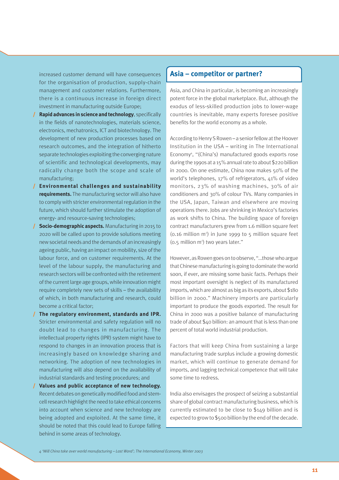increased customer demand will have consequences for the organisation of production, supply-chain management and customer relations. Furthermore, there is a continuous increase in foreign direct investment in manufacturing outside Europe;

- / **Rapid advances in science and technology**, specifically in the fields of nanotechnologies, materials science, electronics, mechatronics, ICT and biotechnology. The development of new production processes based on research outcomes, and the integration of hitherto separate technologies exploiting the converging nature of scientific and technological developments, may radically change both the scope and scale of manufacturing;
- / **Environmental challenges and sustainability requirements.** The manufacturing sector will also have to comply with stricter environmental regulation in the future, which should further stimulate the adoption of energy- and resource-saving technologies;
- **Socio-demographic aspects.** Manufacturing in 2015 to 2020 will be called upon to provide solutions meeting new societal needs and the demands of an increasingly ageing public, having an impact on mobility, size of the labour force, and on customer requirements. At the level of the labour supply, the manufacturing and research sectors will be confronted with the retirement of the current large age groups, while innovation might require completely new sets of skills – the availability of which, in both manufacturing and research, could become a critical factor;
- / **The regulatory environment, standards and IPR.** Stricter environmental and safety regulation will no doubt lead to changes in manufacturing. The intellectual property rights (IPR) system might have to respond to changes in an innovation process that is increasingly based on knowledge sharing and networking. The adoption of new technologies in manufacturing will also depend on the availability of industrial standards and testing procedures; and
- / **Values and public acceptance of new technology.** Recent debates on genetically modified food and stemcell research highlight the need to take ethical concerns into account when science and new technology are being adopted and exploited. At the same time, it should be noted that this could lead to Europe falling behind in some areas of technology.

## **Asia – competitor or partner?**

Asia, and China in particular, is becoming an increasingly potent force in the global marketplace. But, although the exodus of less-skilled production jobs to lower-wage countries is inevitable, many experts foresee positive benefits for the world economy as a whole.

According to Henry S Rowen – a senior fellow at the Hoover Institution in the USA – writing in The International Economy<sup>4</sup>, "(China's) manufactured goods exports rose during the 1990s at a 15% annual rate to about \$220 billion in 2000. On one estimate, China now makes 50% of the world's telephones, 17% of refrigerators, 41% of video monitors, 23% of washing machines, 30% of air conditioners and 30% of colour TVs. Many companies in the USA, Japan, Taiwan and elsewhere are moving operations there. Jobs are shrinking in Mexico's factories as work shifts to China. The building space of foreign contract manufacturers grew from 1.6 million square feet ( $0.16$  million m<sup>2</sup>) in June 1999 to 5 million square feet  $(0.5$  million  $m<sup>2</sup>)$  two years later."

However, as Rowen goes on to observe, "…those who argue that Chinese manufacturing is going to dominate the world soon, if ever, are missing some basic facts. Perhaps their most important oversight is neglect of its manufactured imports, which are almost as big as its exports, about \$180 billion in 2000." Machinery imports are particularly important to produce the goods exported. The result for China in 2000 was a positive balance of manufacturing trade of about \$40 billion: an amount that is less than one percent of total world industrial production.

Factors that will keep China from sustaining a large manufacturing trade surplus include a growing domestic market, which will continue to generate demand for imports, and lagging technical competence that will take some time to redress.

India also envisages the prospect of seizing a substantial share of global contract manufacturing business, which is currently estimated to be close to \$149 billion and is expected to grow to \$500 billion by the end of the decade.

*4 'Will China take over world manufacturing – Last Word'; The International Economy, Winter 2003*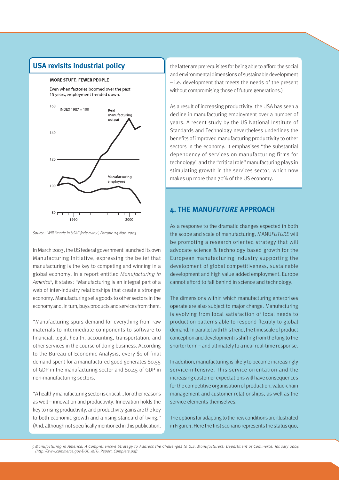## **USA revisits industrial policy**

#### **MORE STUFF, FEWER PEOPLE**

Even when factories boomed over the past 15 years, employment trended down.



*Source: 'Will "made in USA" fade away', Fortune 24 Nov. 2003*

In March 2003, the US federal government launched its own Manufacturing Initiative, expressing the belief that manufacturing is the key to competing and winning in a global economy. In a report entitled *Manufacturing in America<sup>5</sup>* , it states: "Manufacturing is an integral part of a web of inter-industry relationships that create a stronger economy. Manufacturing sells goods to other sectors in the economy and, in turn, buys products and services from them.

"Manufacturing spurs demand for everything from raw materials to intermediate components to software to financial, legal, health, accounting, transportation, and other services in the course of doing business. According to the Bureau of Economic Analysis, every \$1 of final demand spent for a manufactured good generates \$0.55 of GDP in the manufacturing sector and \$0.45 of GDP in non-manufacturing sectors.

"A healthy manufacturing sector is critical… for other reasons as well – innovation and productivity. Innovation holds the key to rising productivity, and productivity gains are the key to both economic growth and a rising standard of living." (And, although not specifically mentioned in this publication,

the latter are prerequisites for being able to afford the social and environmental dimensions of sustainable development – i.e. development that meets the needs of the present without compromising those of future generations.)

As a result of increasing productivity, the USA has seen a decline in manufacturing employment over a number of years. A recent study by the US National Institute of Standards and Technology nevertheless underlines the benefits of improved manufacturing productivity to other sectors in the economy. It emphasises "the substantial dependency of services on manufacturing firms for technology" and the "critical role" manufacturing plays in stimulating growth in the services sector, which now makes up more than 70% of the US economy.

## **4. THE MANU***FUTURE* **APPROACH**

As a response to the dramatic changes expected in both the scope and scale of manufacturing, MANU*FUTURE* will be promoting a research oriented strategy that will advocate science & technology based growth for the European manufacturing industry supporting the development of global competitiveness, sustainable development and high value added employment. Europe cannot afford to fall behind in science and technology.

The dimensions within which manufacturing enterprises operate are also subject to major change. Manufacturing is evolving from local satisfaction of local needs to production patterns able to respond flexibly to global demand. In parallel with this trend, the timescale of product conception and development is shifting from the long to the shorter term – and ultimately to a near real-time response.

In addition, manufacturing is likely to become increasingly service-intensive. This service orientation and the increasing customer expectations will have consequences for the competitive organisation of production, value-chain management and customer relationships, as well as the service elements themselves.

The options for adapting to the new conditions are illustrated in Figure 1. Here the first scenario represents the status quo,

*<sup>5</sup> Manufacturing in America: A Comprehensive Strategy to Address the Challenges to U.S. Manufacturers; Department of Commerce, January 2004 (http://www.commerce.gov/DOC\_MFG\_Report\_Complete.pdf)*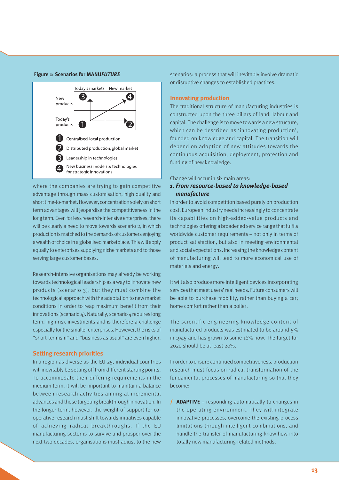#### **Figure 1: Scenarios for MANU***FUTURE*



where the companies are trying to gain competitive advantage through mass customisation, high quality and short time-to-market. However, concentration solely on short term advantages will jeopardise the competitiveness in the long term. Even for less research-intensive enterprises, there will be clearly a need to move towards scenario 2, in which production is matched to the demands of customers enjoying a wealth of choice in a globalised marketplace. This will apply equally to enterprises supplying niche markets and to those serving large customer bases.

Research-intensive organisations may already be working towards technological leadership as a way to innovate new products (scenario 3), but they must combine the technological approach with the adaptation to new market conditions in order to reap maximum benefit from their innovations (scenario  $4$ ). Naturally, scenario  $4$  requires long term, high-risk investments and is therefore a challenge especially for the smaller enterprises. However, the risks of "short-termism" and "business as usual" are even higher.

#### **Setting research priorities**

In a region as diverse as the EU-25, individual countries will inevitably be setting off from different starting points. To accommodate their differing requirements in the medium term, it will be important to maintain a balance between research activities aiming at incremental advances and those targeting breakthrough innovation. In the longer term, however, the weight of support for cooperative research must shift towards initiatives capable of achieving radical breakthroughs. If the EU manufacturing sector is to survive and prosper over the next two decades, organisations must adjust to the new scenarios: a process that will inevitably involve dramatic or disruptive changes to established practices.

## **Innovating production**

The traditional structure of manufacturing industries is constructed upon the three pillars of land, labour and capital. The challenge is to move towards a new structure, which can be described as 'innovating production', founded on knowledge and capital. The transition will depend on adoption of new attitudes towards the continuous acquisition, deployment, protection and funding of new knowledge.

Change will occur in six main areas:

## *1. From resource-based to knowledge-based manufacture*

In order to avoid competition based purely on production cost, European industry needs increasingly to concentrate its capabilities on high-added-value products and technologies offering a broadened service range that fulfils worldwide customer requirements – not only in terms of product satisfaction, but also in meeting environmental and social expectations. Increasing the knowledge content of manufacturing will lead to more economical use of materials and energy.

It will also produce more intelligent devices incorporating services that meet users' real needs. Future consumers will be able to purchase mobility, rather than buying a car; home comfort rather than a boiler.

The scientific engineering knowledge content of manufactured products was estimated to be around 5% in 1945 and has grown to some 16% now. The target for 2020 should be at least 20%.

In order to ensure continued competitiveness, production research must focus on radical transformation of the fundamental processes of manufacturing so that they become:

/ **ADAPTIVE** – responding automatically to changes in the operating environment. They will integrate innovative processes, overcome the existing process limitations through intelligent combinations, and handle the transfer of manufacturing know-how into totally new manufacturing-related methods.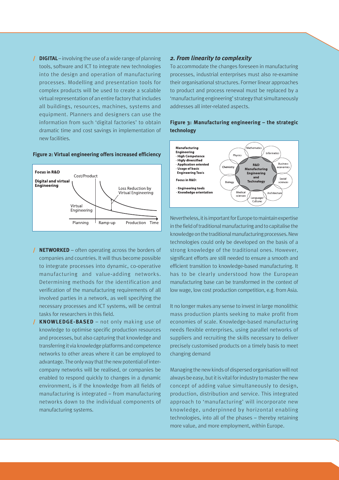/ **DIGITAL** – involving the use of a wide range of planning tools, software and ICT to integrate new technologies into the design and operation of manufacturing processes. Modelling and presentation tools for complex products will be used to create a scalable virtual representation of an entire factory that includes all buildings, resources, machines, systems and equipment. Planners and designers can use the information from such 'digital factories' to obtain dramatic time and cost savings in implementation of new facilities.

#### **Figure 2: Virtual engineering offers increased efficiency**



- / **NETWORKED** often operating across the borders of companies and countries. It will thus become possible to integrate processes into dynamic, co-operative manufacturing and value-adding networks. Determining methods for the identification and verification of the manufacturing requirements of all involved parties in a network, as well specifying the necessary processes and ICT systems, will be central tasks for researchers in this field.
- / **KNOWLEDGE-BASED** not only making use of knowledge to optimise specific production resources and processes, but also capturing that knowledge and transferring it via knowledge platforms and competence networks to other areas where it can be employed to advantage. The only way that the new potential of intercompany networks will be realised, or companies be enabled to respond quickly to changes in a dynamic environment, is if the knowledge from all fields of manufacturing is integrated – from manufacturing networks down to the individual components of manufacturing systems.

## *2. From linearity to complexity*

To accommodate the changes foreseen in manufacturing processes, industrial enterprises must also re-examine their organisational structures. Former linear approaches to product and process renewal must be replaced by a 'manufacturing engineering' strategy that simultaneously addresses all inter-related aspects.

### **Figure 3: Manufacturing engineering – the strategic technology**



Nevertheless, it is important for Europe to maintain expertise in the field of traditional manufacturing and to capitalise the knowledge on the traditional manufacturing processes. New technologies could only be developed on the basis of a strong knowledge of the traditional ones. However, significant efforts are still needed to ensure a smooth and efficient transition to knowledge-based manufacturing. It has to be clearly understood how the European manufacturing base can be transformed in the context of low wage, low cost production competition, e.g. from Asia.

It no longer makes any sense to invest in large monolithic mass production plants seeking to make profit from economies of scale. Knowledge-based manufacturing needs flexible enterprises, using parallel networks of suppliers and recruiting the skills necessary to deliver precisely customised products on a timely basis to meet changing demand

Managing the new kinds of dispersed organisation will not always be easy, but it is vital for industry to master the new concept of adding value simultaneously to design, production, distribution and service. This integrated approach to 'manufacturing' will incorporate new knowledge, underpinned by horizontal enabling technologies, into all of the phases – thereby retaining more value, and more employment, within Europe.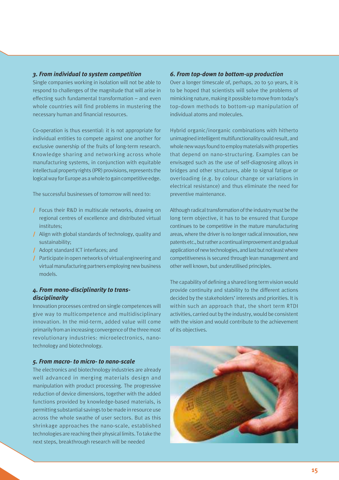### *3. From individual to system competition*

Single companies working in isolation will not be able to respond to challenges of the magnitude that will arise in effecting such fundamental transformation – and even whole countries will find problems in mustering the necessary human and financial resources.

Co-operation is thus essential: it is not appropriate for individual entities to compete against one another for exclusive ownership of the fruits of long-term research. Knowledge sharing and networking across whole manufacturing systems, in conjunction with equitable intellectual property rights (IPR) provisions, represents the logical way for Europe as a whole to gain competitive edge.

The successful businesses of tomorrow will need to:

- / Focus their R&D in multiscale networks, drawing on regional centres of excellence and distributed virtual institutes;
- / Align with global standards of technology, quality and sustainability;
- / Adopt standard ICT interfaces; and
- / Participate in open networks of virtual engineering and virtual manufacturing partners employing new business models.

## *4. From mono-disciplinarity to transdisciplinarity*

Innovation processes centred on single competences will give way to multicompetence and multidisciplinary innovation. In the mid-term, added value will come primarily from an increasing convergence of the three most revolutionary industries: microelectronics, nanotechnology and biotechnology.

## *5. From macro- to micro- to nano-scale*

The electronics and biotechnology industries are already well advanced in merging materials design and manipulation with product processing. The progressive reduction of device dimensions, together with the added functions provided by knowledge-based materials, is permitting substantial savings to be made in resource use across the whole swathe of user sectors. But as this shrinkage approaches the nano-scale, established technologies are reaching their physical limits. To take the next steps, breakthrough research will be needed

## *6. From top-down to bottom-up production*

Over a longer timescale of, perhaps, 20 to 50 years, it is to be hoped that scientists will solve the problems of mimicking nature, making it possible to move from today's top-down methods to bottom-up manipulation of individual atoms and molecules.

Hybrid organic/inorganic combinations with hitherto unimagined intelligent multifunctionality could result, and whole new ways found to employ materials with properties that depend on nano-structuring. Examples can be envisaged such as the use of self-diagnosing alloys in bridges and other structures, able to signal fatigue or overloading (e.g. by colour change or variations in electrical resistance) and thus eliminate the need for preventive maintenance.

Although radical transformation of the industry must be the long term objective, it has to be ensured that Europe continues to be competitive in the mature manufacturing areas, where the driver is no longer radical innovation, new patents etc., but rather a continual improvement and gradual application of new technologies, and last but not least where competitiveness is secured through lean management and other well known, but underutilised principles.

The capability of defining a shared long term vision would provide continuity and stability to the different actions decided by the stakeholders' interests and priorities. It is within such an approach that, the short term RTDI activities, carried out by the industry, would be consistent with the vision and would contribute to the achievement of its objectives.

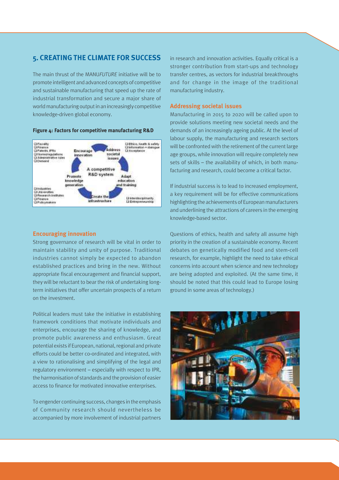## **5. CREATING THE CLIMATE FOR SUCCESS**

The main thrust of the MANU*FUTURE* initiative will be to promote intelligent and advanced concepts of competitive and sustainable manufacturing that speed up the rate of industrial transformation and secure a major share of world manufacturing output in an increasingly competitive knowledge-driven global economy.





## **Encouraging innovation**

Strong governance of research will be vital in order to maintain stability and unity of purpose. Traditional industries cannot simply be expected to abandon established practices and bring in the new. Without appropriate fiscal encouragement and financial support, they will be reluctant to bear the risk of undertaking longterm initiatives that offer uncertain prospects of a return on the investment.

Political leaders must take the initiative in establishing framework conditions that motivate individuals and enterprises, encourage the sharing of knowledge, and promote public awareness and enthusiasm. Great potential exists if European, national, regional and private efforts could be better co-ordinated and integrated, with a view to rationalising and simplifying of the legal and regulatory environment – especially with respect to IPR, the harmonisation of standards and the provision of easier access to finance for motivated innovative enterprises.

To engender continuing success, changes in the emphasis of Community research should nevertheless be accompanied by more involvement of industrial partners in research and innovation activities. Equally critical is a stronger contribution from start-ups and technology transfer centres, as vectors for industrial breakthroughs and for change in the image of the traditional manufacturing industry.

#### **Addressing societal issues**

Manufacturing in 2015 to 2020 will be called upon to provide solutions meeting new societal needs and the demands of an increasingly ageing public. At the level of labour supply, the manufacturing and research sectors will be confronted with the retirement of the current large age groups, while innovation will require completely new sets of skills – the availability of which, in both manufacturing and research, could become a critical factor.

If industrial success is to lead to increased employment, a key requirement will be for effective communications highlighting the achievements of European manufacturers and underlining the attractions of careers in the emerging knowledge-based sector.

Questions of ethics, health and safety all assume high priority in the creation of a sustainable economy. Recent debates on genetically modified food and stem-cell research, for example, highlight the need to take ethical concerns into account when science and new technology are being adopted and exploited. (At the same time, it should be noted that this could lead to Europe losing ground in some areas of technology.)

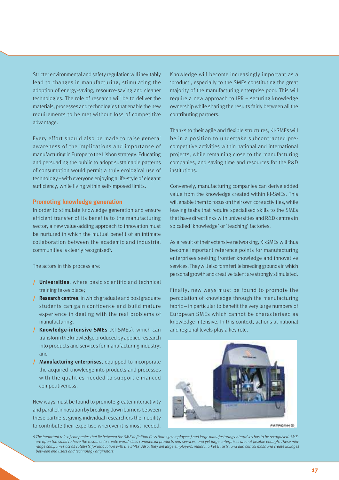Stricter environmental and safety regulation will inevitably lead to changes in manufacturing, stimulating the adoption of energy-saving, resource-saving and cleaner technologies. The role of research will be to deliver the materials, processes and technologies that enable the new requirements to be met without loss of competitive advantage.

Every effort should also be made to raise general awareness of the implications and importance of manufacturing in Europe to the Lisbon strategy. Educating and persuading the public to adopt sustainable patterns of consumption would permit a truly ecological use of technology – with everyone enjoying a life-style of elegant sufficiency, while living within self-imposed limits.

### **Promoting knowledge generation**

In order to stimulate knowledge generation and ensure efficient transfer of its benefits to the manufacturing sector, a new value-adding approach to innovation must be nurtured in which the mutual benefit of an intimate collaboration between the academic and industrial communities is clearly recognised<sup>6</sup>.

The actors in this process are:

- / **Universities**, where basic scientific and technical training takes place;
- / **Research centres**, in which graduate and postgraduate students can gain confidence and build mature experience in dealing with the real problems of manufacturing;
- / **Knowledge-intensive SMEs** (KI-SMEs), which can transform the knowledge produced by applied research into products and services for manufacturing industry; and
- / **Manufacturing enterprises**, equipped to incorporate the acquired knowledge into products and processes with the qualities needed to support enhanced competitiveness.

New ways must be found to promote greater interactivity and parallel innovation by breaking down barriers between these partners, giving individual researchers the mobility to contribute their expertise wherever it is most needed.

Knowledge will become increasingly important as a 'product', especially to the SMEs constituting the great majority of the manufacturing enterprise pool. This will require a new approach to IPR – securing knowledge ownership while sharing the results fairly between all the contributing partners.

Thanks to their agile and flexible structures, KI-SMEs will be in a position to undertake subcontracted precompetitive activities within national and international projects, while remaining close to the manufacturing companies, and saving time and resources for the R&D institutions.

Conversely, manufacturing companies can derive added value from the knowledge created within KI-SMEs. This will enable them to focus on their own core activities, while leaving tasks that require specialised skills to the SMEs that have direct links with universities and R&D centres in so called 'knowledge' or 'teaching' factories.

As a result of their extensive networking, KI-SMEs will thus become important reference points for manufacturing enterprises seeking frontier knowledge and innovative services. They will also form fertile breeding grounds in which personal growth and creative talent are strongly stimulated.

Finally, new ways must be found to promote the percolation of knowledge through the manufacturing fabric – in particular to benefit the very large numbers of European SMEs which cannot be characterised as knowledge-intensive. In this context, actions at national and regional levels play a key role.



*6 The important role of companies that lie between the SME definition (less that 250 employees) and large manufacturing enterprises has to be recognised. SMEs are often too small to have the resource to create world-class commercial products and services, and yet large enterprises are not flexible enough. These midrange companies act as catalysts for innovation with the SMEs. Also, they are large employers, major market thrusts, and add critical mass and create linkages between end users and technology originators.*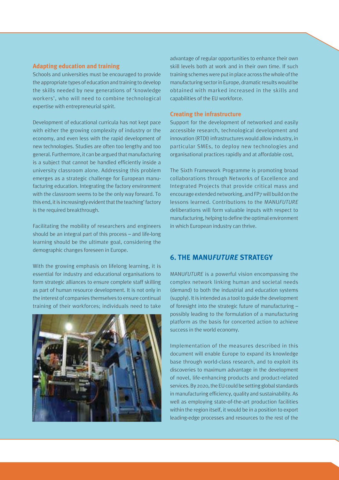### **Adapting education and training**

Schools and universities must be encouraged to provide the appropriate types of education and training to develop the skills needed by new generations of 'knowledge workers', who will need to combine technological expertise with entrepreneurial spirit.

Development of educational curricula has not kept pace with either the growing complexity of industry or the economy, and even less with the rapid development of new technologies. Studies are often too lengthy and too general. Furthermore, it can be argued that manufacturing is a subject that cannot be handled efficiently inside a university classroom alone. Addressing this problem emerges as a strategic challenge for European manufacturing education. Integrating the factory environment with the classroom seems to be the only way forward. To this end, it is increasingly evident that the teaching' factory is the required breakthrough.

Facilitating the mobility of researchers and engineers should be an integral part of this process – and life-long learning should be the ultimate goal, considering the demographic changes foreseen in Europe.

With the growing emphasis on lifelong learning, it is essential for industry and educational organisations to form strategic alliances to ensure complete staff skilling as part of human resource development. It is not only in the interest of companies themselves to ensure continual training of their workforces; individuals need to take



advantage of regular opportunities to enhance their own skill levels both at work and in their own time. If such training schemes were put in place across the whole of the manufacturing sector in Europe, dramatic results would be obtained with marked increased in the skills and capabilities of the EU workforce.

#### **Creating the infrastructure**

Support for the development of networked and easily accessible research, technological development and innovation (RTDI) infrastructures would allow industry, in particular SMEs, to deploy new technologies and organisational practices rapidly and at affordable cost,

The Sixth Framework Programme is promoting broad collaborations through Networks of Excellence and Integrated Projects that provide critical mass and encourage extended networking, and FP7 will build on the lessons learned. Contributions to the MANU*FUTURE* deliberations will form valuable inputs with respect to manufacturing, helping to define the optimal environment in which European industry can thrive.

## **6. THE MANU***FUTURE* **STRATEGY**

MANU*FUTURE* is a powerful vision encompassing the complex network linking human and societal needs (demand) to both the industrial and education systems (supply). It is intended as a tool to guide the development of foresight into the strategic future of manufacturing – possibly leading to the formulation of a manufacturing platform as the basis for concerted action to achieve success in the world economy.

Implementation of the measures described in this document will enable Europe to expand its knowledge base through world-class research, and to exploit its discoveries to maximum advantage in the development of novel, life-enhancing products and product-related services. By 2020, the EU could be setting global standards in manufacturing efficiency, quality and sustainability. As well as employing state-of-the-art production facilities within the region itself, it would be in a position to export leading-edge processes and resources to the rest of the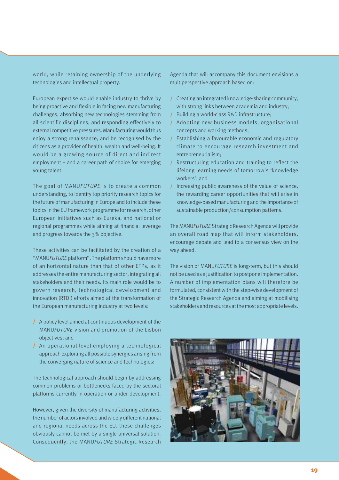world, while retaining ownership of the underlying technologies and intellectual property.

European expertise would enable industry to thrive by being proactive and flexible in facing new manufacturing challenges, absorbing new technologies stemming from all scientific disciplines, and responding effectively to external competitive pressures. Manufacturing would thus enjoy a strong renaissance, and be recognised by the citizens as a provider of health, wealth and well-being. It would be a growing source of direct and indirect employment – and a career path of choice for emerging young talent.

The goal of MANU*FUTURE* is to create a common understanding, to identify top priority research topics for the future of manufacturing in Europe and to include these topics in the EU framework programme for research, other European initiatives such as Eureka, and national or regional programmes while aiming at financial leverage and progress towards the 3% objective.

These activities can be facilitated by the creation of a "MANU*FUTURE* platform". The platform should have more of an horizontal nature than that of other ETPs, as it addresses the entire manufacturing sector, integrating all stakeholders and their needs. Its main role would be to govern research, technological development and innovation (RTDI) efforts aimed at the transformation of the European manufacturing industry at two levels:

- / A policy level aimed at continuous development of the MANU*FUTURE* vision and promotion of the Lisbon objectives; and
- / An operational level employing a technological approach exploiting all possible synergies arising from the converging nature of science and technologies;

The technological approach should begin by addressing common problems or bottlenecks faced by the sectoral platforms currently in operation or under development.

However, given the diversity of manufacturing activities, the number of actors involved and widely different national and regional needs across the EU, these challenges obviously cannot be met by a single universal solution. Consequently, the MANU*FUTURE* Strategic Research Agenda that will accompany this document envisions a multiperspective approach based on:

- / Creating an integrated knowledge-sharing community, with strong links between academia and industry;
- / Building a world-class R&D infrastructure;
- / Adopting new business models, organisational concepts and working methods;
- / Establishing a favourable economic and regulatory climate to encourage research investment and entrepreneurialism;
- / Restructuring education and training to reflect the lifelong learning needs of tomorrow's 'knowledge workers'; and
- / Increasing public awareness of the value of science, the rewarding career opportunities that will arise in knowledge-based manufacturing and the importance of sustainable production/consumption patterns.

The MANU*FUTURE* Strategic Research Agenda will provide an overall road map that will inform stakeholders, encourage debate and lead to a consensus view on the way ahead.

The vision of MANU*FUTURE* is long-term, but this should not be used as a justification to postpone implementation. A number of implementation plans will therefore be formulated, consistent with the step-wise development of the Strategic Research Agenda and aiming at mobilising stakeholders and resources at the most appropriate levels.

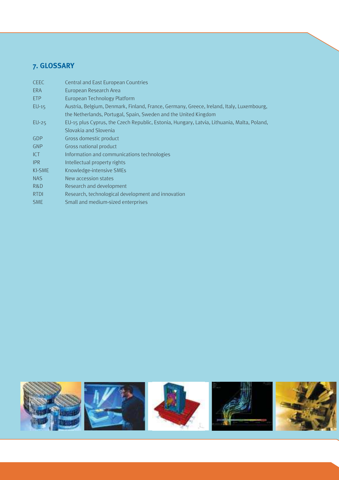## **7. GLOSSARY**

| <b>CEEC</b> | Central and East European Countries                                                        |
|-------------|--------------------------------------------------------------------------------------------|
| ERA         | European Research Area                                                                     |
| <b>ETP</b>  | European Technology Platform                                                               |
| $EU-15$     | Austria, Belgium, Denmark, Finland, France, Germany, Greece, Ireland, Italy, Luxembourg,   |
|             | the Netherlands, Portugal, Spain, Sweden and the United Kingdom                            |
| $EU-25$     | EU-15 plus Cyprus, the Czech Republic, Estonia, Hungary, Latvia, Lithuania, Malta, Poland, |
|             | Slovakia and Slovenia                                                                      |
| <b>GDP</b>  | Gross domestic product                                                                     |
| <b>GNP</b>  | Gross national product                                                                     |
| <b>ICT</b>  | Information and communications technologies                                                |
| <b>IPR</b>  | Intellectual property rights                                                               |
| KI-SME      | Knowledge-intensive SMEs                                                                   |
| <b>NAS</b>  | New accession states                                                                       |
| R&D         | Research and development                                                                   |
| <b>RTDI</b> | Research, technological development and innovation                                         |
| <b>SME</b>  | Small and medium-sized enterprises                                                         |

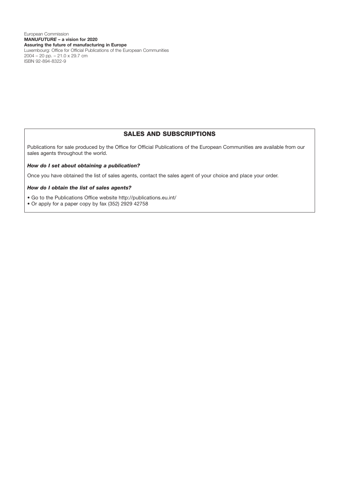#### European Commission **MANU***FUTURE* **– a vision for 2020 Assuring the future of manufacturing in Europe** Luxembourg: Office for Official Publications of the European Communities 2004 – 20 pp. – 21.0 x 29.7 cm ISBN 92-894-8322-9

## SALES AND SUBSCRIPTIONS

Publications for sale produced by the Office for Official Publications of the European Communities are available from our sales agents throughout the world.

## *How do I set about obtaining a publication?*

Once you have obtained the list of sales agents, contact the sales agent of your choice and place your order.

#### *How do I obtain the list of sales agents?*

- Go to the Publications Office website http://publications.eu.int/
- Or apply for a paper copy by fax (352) 2929 42758